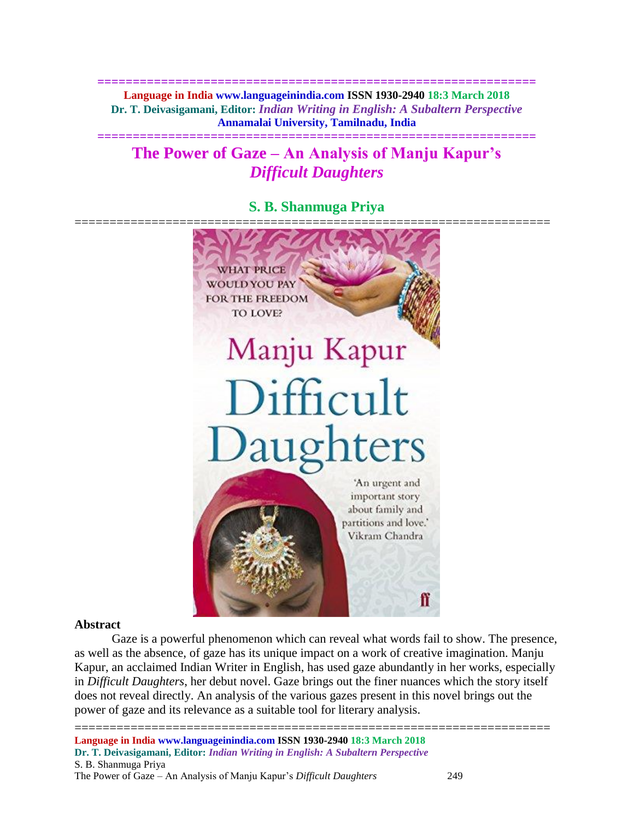**============================================================== Language in India www.languageinindia.com ISSN 1930-2940 18:3 March 2018 Dr. T. Deivasigamani, Editor:** *Indian Writing in English: A Subaltern Perspective* **Annamalai University, Tamilnadu, India**

# **The Power of Gaze – An Analysis of Manju Kapur's**  *Difficult Daughters*

**==============================================================**

**S. B. Shanmuga Priya**



## **Abstract**

Gaze is a powerful phenomenon which can reveal what words fail to show. The presence, as well as the absence, of gaze has its unique impact on a work of creative imagination. Manju Kapur, an acclaimed Indian Writer in English, has used gaze abundantly in her works, especially in *Difficult Daughters*, her debut novel. Gaze brings out the finer nuances which the story itself does not reveal directly. An analysis of the various gazes present in this novel brings out the power of gaze and its relevance as a suitable tool for literary analysis.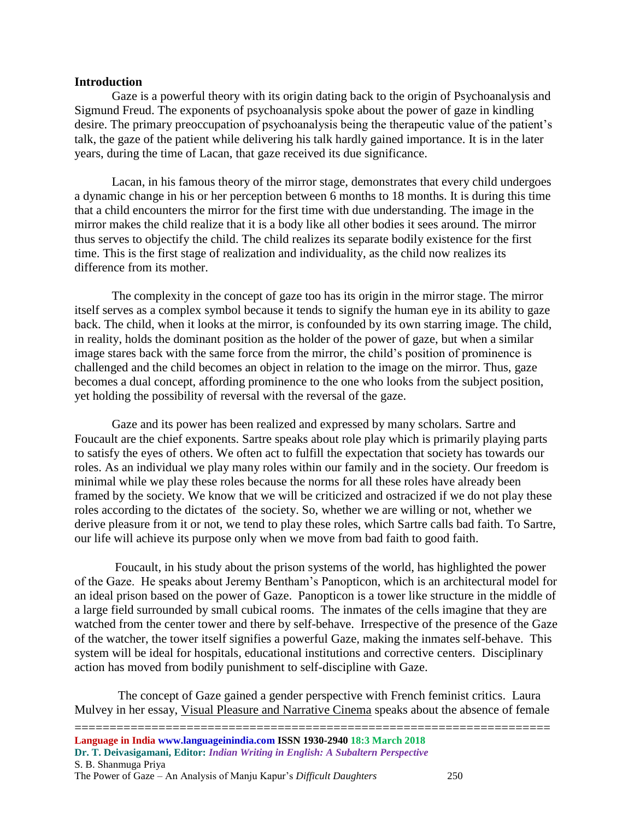## **Introduction**

Gaze is a powerful theory with its origin dating back to the origin of Psychoanalysis and Sigmund Freud. The exponents of psychoanalysis spoke about the power of gaze in kindling desire. The primary preoccupation of psychoanalysis being the therapeutic value of the patient's talk, the gaze of the patient while delivering his talk hardly gained importance. It is in the later years, during the time of Lacan, that gaze received its due significance.

Lacan, in his famous theory of the mirror stage, demonstrates that every child undergoes a dynamic change in his or her perception between 6 months to 18 months. It is during this time that a child encounters the mirror for the first time with due understanding. The image in the mirror makes the child realize that it is a body like all other bodies it sees around. The mirror thus serves to objectify the child. The child realizes its separate bodily existence for the first time. This is the first stage of realization and individuality, as the child now realizes its difference from its mother.

The complexity in the concept of gaze too has its origin in the mirror stage. The mirror itself serves as a complex symbol because it tends to signify the human eye in its ability to gaze back. The child, when it looks at the mirror, is confounded by its own starring image. The child, in reality, holds the dominant position as the holder of the power of gaze, but when a similar image stares back with the same force from the mirror, the child's position of prominence is challenged and the child becomes an object in relation to the image on the mirror. Thus, gaze becomes a dual concept, affording prominence to the one who looks from the subject position, yet holding the possibility of reversal with the reversal of the gaze.

Gaze and its power has been realized and expressed by many scholars. Sartre and Foucault are the chief exponents. Sartre speaks about role play which is primarily playing parts to satisfy the eyes of others. We often act to fulfill the expectation that society has towards our roles. As an individual we play many roles within our family and in the society. Our freedom is minimal while we play these roles because the norms for all these roles have already been framed by the society. We know that we will be criticized and ostracized if we do not play these roles according to the dictates of the society. So, whether we are willing or not, whether we derive pleasure from it or not, we tend to play these roles, which Sartre calls bad faith. To Sartre, our life will achieve its purpose only when we move from bad faith to good faith.

Foucault, in his study about the prison systems of the world, has highlighted the power of the Gaze. He speaks about Jeremy Bentham's Panopticon, which is an architectural model for an ideal prison based on the power of Gaze. Panopticon is a tower like structure in the middle of a large field surrounded by small cubical rooms. The inmates of the cells imagine that they are watched from the center tower and there by self-behave. Irrespective of the presence of the Gaze of the watcher, the tower itself signifies a powerful Gaze, making the inmates self-behave. This system will be ideal for hospitals, educational institutions and corrective centers. Disciplinary action has moved from bodily punishment to self-discipline with Gaze.

 The concept of Gaze gained a gender perspective with French feminist critics. Laura Mulvey in her essay, Visual Pleasure and Narrative Cinema speaks about the absence of female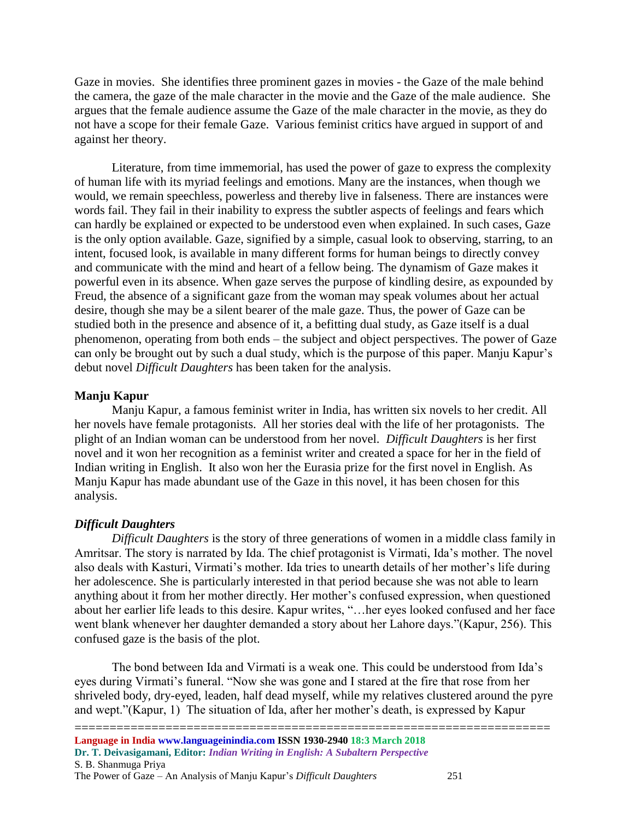Gaze in movies. She identifies three prominent gazes in movies - the Gaze of the male behind the camera, the gaze of the male character in the movie and the Gaze of the male audience. She argues that the female audience assume the Gaze of the male character in the movie, as they do not have a scope for their female Gaze. Various feminist critics have argued in support of and against her theory.

Literature, from time immemorial, has used the power of gaze to express the complexity of human life with its myriad feelings and emotions. Many are the instances, when though we would, we remain speechless, powerless and thereby live in falseness. There are instances were words fail. They fail in their inability to express the subtler aspects of feelings and fears which can hardly be explained or expected to be understood even when explained. In such cases, Gaze is the only option available. Gaze, signified by a simple, casual look to observing, starring, to an intent, focused look, is available in many different forms for human beings to directly convey and communicate with the mind and heart of a fellow being. The dynamism of Gaze makes it powerful even in its absence. When gaze serves the purpose of kindling desire, as expounded by Freud, the absence of a significant gaze from the woman may speak volumes about her actual desire, though she may be a silent bearer of the male gaze. Thus, the power of Gaze can be studied both in the presence and absence of it, a befitting dual study, as Gaze itself is a dual phenomenon, operating from both ends – the subject and object perspectives. The power of Gaze can only be brought out by such a dual study, which is the purpose of this paper. Manju Kapur's debut novel *Difficult Daughters* has been taken for the analysis.

## **Manju Kapur**

Manju Kapur, a famous feminist writer in India, has written six novels to her credit. All her novels have female protagonists. All her stories deal with the life of her protagonists. The plight of an Indian woman can be understood from her novel. *Difficult Daughters* is her first novel and it won her recognition as a feminist writer and created a space for her in the field of Indian writing in English. It also won her the Eurasia prize for the first novel in English. As Manju Kapur has made abundant use of the Gaze in this novel, it has been chosen for this analysis.

## *Difficult Daughters*

*Difficult Daughters* is the story of three generations of women in a middle class family in Amritsar. The story is narrated by Ida. The chief protagonist is Virmati, Ida's mother. The novel also deals with Kasturi, Virmati's mother. Ida tries to unearth details of her mother's life during her adolescence. She is particularly interested in that period because she was not able to learn anything about it from her mother directly. Her mother's confused expression, when questioned about her earlier life leads to this desire. Kapur writes, "…her eyes looked confused and her face went blank whenever her daughter demanded a story about her Lahore days."(Kapur, 256). This confused gaze is the basis of the plot.

The bond between Ida and Virmati is a weak one. This could be understood from Ida's eyes during Virmati's funeral. "Now she was gone and I stared at the fire that rose from her shriveled body, dry-eyed, leaden, half dead myself, while my relatives clustered around the pyre and wept."(Kapur, 1) The situation of Ida, after her mother's death, is expressed by Kapur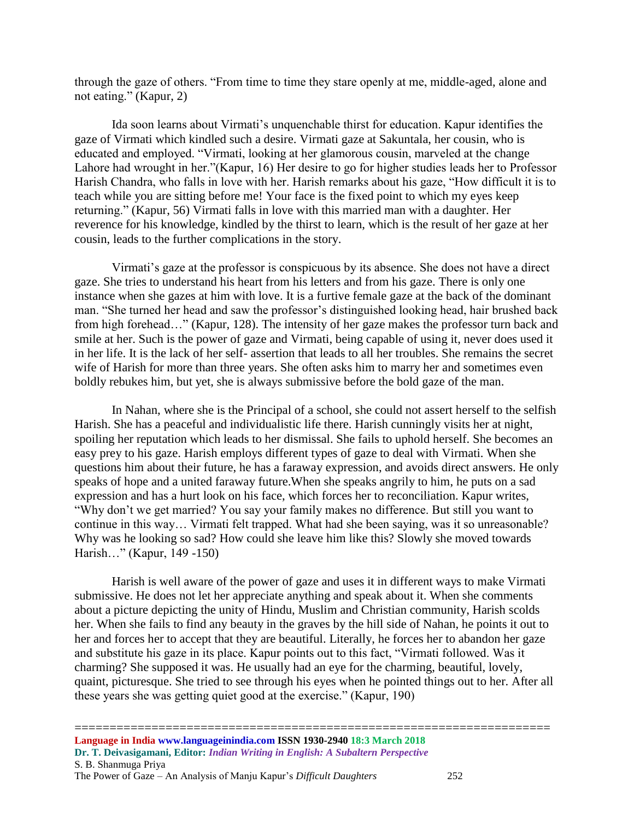through the gaze of others. "From time to time they stare openly at me, middle-aged, alone and not eating." (Kapur, 2)

Ida soon learns about Virmati's unquenchable thirst for education. Kapur identifies the gaze of Virmati which kindled such a desire. Virmati gaze at Sakuntala, her cousin, who is educated and employed. "Virmati, looking at her glamorous cousin, marveled at the change Lahore had wrought in her."(Kapur, 16) Her desire to go for higher studies leads her to Professor Harish Chandra, who falls in love with her. Harish remarks about his gaze, "How difficult it is to teach while you are sitting before me! Your face is the fixed point to which my eyes keep returning." (Kapur, 56) Virmati falls in love with this married man with a daughter. Her reverence for his knowledge, kindled by the thirst to learn, which is the result of her gaze at her cousin, leads to the further complications in the story.

Virmati's gaze at the professor is conspicuous by its absence. She does not have a direct gaze. She tries to understand his heart from his letters and from his gaze. There is only one instance when she gazes at him with love. It is a furtive female gaze at the back of the dominant man. "She turned her head and saw the professor's distinguished looking head, hair brushed back from high forehead…" (Kapur, 128). The intensity of her gaze makes the professor turn back and smile at her. Such is the power of gaze and Virmati, being capable of using it, never does used it in her life. It is the lack of her self- assertion that leads to all her troubles. She remains the secret wife of Harish for more than three years. She often asks him to marry her and sometimes even boldly rebukes him, but yet, she is always submissive before the bold gaze of the man.

In Nahan, where she is the Principal of a school, she could not assert herself to the selfish Harish. She has a peaceful and individualistic life there. Harish cunningly visits her at night, spoiling her reputation which leads to her dismissal. She fails to uphold herself. She becomes an easy prey to his gaze. Harish employs different types of gaze to deal with Virmati. When she questions him about their future, he has a faraway expression, and avoids direct answers. He only speaks of hope and a united faraway future.When she speaks angrily to him, he puts on a sad expression and has a hurt look on his face, which forces her to reconciliation. Kapur writes, "Why don't we get married? You say your family makes no difference. But still you want to continue in this way… Virmati felt trapped. What had she been saying, was it so unreasonable? Why was he looking so sad? How could she leave him like this? Slowly she moved towards Harish…" (Kapur, 149 -150)

Harish is well aware of the power of gaze and uses it in different ways to make Virmati submissive. He does not let her appreciate anything and speak about it. When she comments about a picture depicting the unity of Hindu, Muslim and Christian community, Harish scolds her. When she fails to find any beauty in the graves by the hill side of Nahan, he points it out to her and forces her to accept that they are beautiful. Literally, he forces her to abandon her gaze and substitute his gaze in its place. Kapur points out to this fact, "Virmati followed. Was it charming? She supposed it was. He usually had an eye for the charming, beautiful, lovely, quaint, picturesque. She tried to see through his eyes when he pointed things out to her. After all these years she was getting quiet good at the exercise." (Kapur, 190)

====================================================================